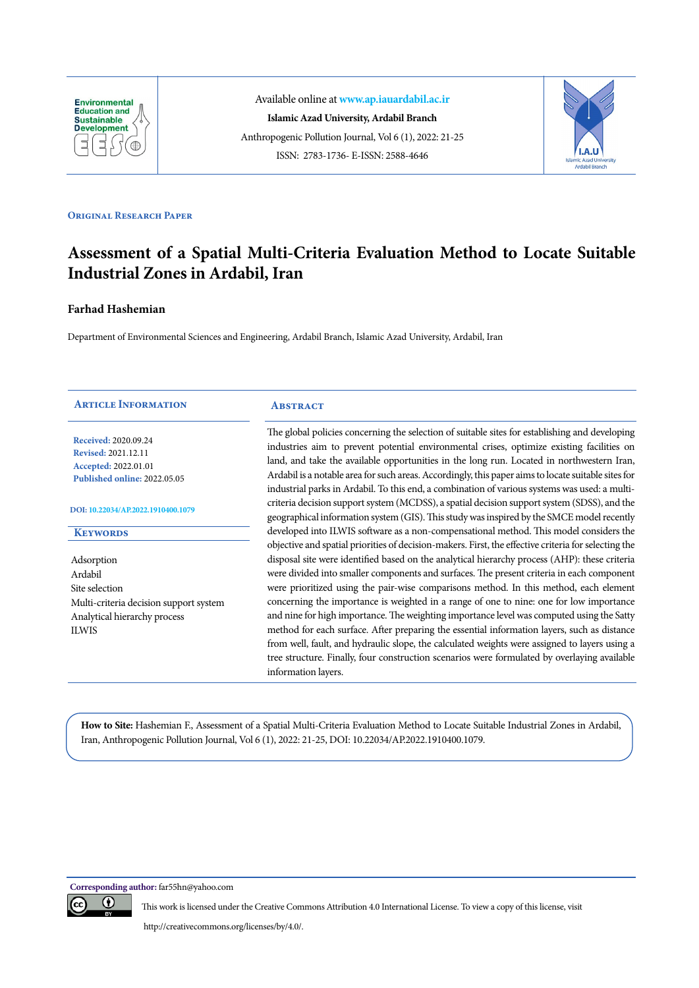

Available online at **[www.ap.iauardabil.ac.ir](http://ap.iauardabil.ac.ir/) Islamic Azad University, Ardabil Branch** Anthropogenic Pollution Journal, Vol 6 (1), 2022: 21-25 ISSN: 2783-1736- E-ISSN: 2588-4646



# **Original Research Paper**

# **Assessment of a Spatial Multi-Criteria Evaluation Method to Locate Suitable Industrial Zones in Ardabil, Iran**

# **Farhad Hashemian**

Department of Environmental Sciences and Engineering, Ardabil Branch, Islamic Azad University, Ardabil, Iran

| <b>ARTICLE INFORMATION</b>                                                                                 | <b>ABSTRACT</b>                                                                                                                                                                                                                                                                                                                                                                                                                                                                                  |
|------------------------------------------------------------------------------------------------------------|--------------------------------------------------------------------------------------------------------------------------------------------------------------------------------------------------------------------------------------------------------------------------------------------------------------------------------------------------------------------------------------------------------------------------------------------------------------------------------------------------|
| Received: 2020.09.24<br><b>Revised: 2021.12.11</b><br>Accepted: 2022.01.01<br>Published online: 2022.05.05 | The global policies concerning the selection of suitable sites for establishing and developing<br>industries aim to prevent potential environmental crises, optimize existing facilities on<br>land, and take the available opportunities in the long run. Located in northwestern Iran,<br>Ardabil is a notable area for such areas. Accordingly, this paper aims to locate suitable sites for<br>industrial parks in Ardabil. To this end, a combination of various systems was used: a multi- |
| DOI: 10.22034/AP.2022.1910400.1079                                                                         | criteria decision support system (MCDSS), a spatial decision support system (SDSS), and the<br>geographical information system (GIS). This study was inspired by the SMCE model recently                                                                                                                                                                                                                                                                                                         |
| <b>KEYWORDS</b>                                                                                            | developed into ILWIS software as a non-compensational method. This model considers the                                                                                                                                                                                                                                                                                                                                                                                                           |
|                                                                                                            | objective and spatial priorities of decision-makers. First, the effective criteria for selecting the                                                                                                                                                                                                                                                                                                                                                                                             |
| Adsorption                                                                                                 | disposal site were identified based on the analytical hierarchy process (AHP): these criteria                                                                                                                                                                                                                                                                                                                                                                                                    |
| Ardabil                                                                                                    | were divided into smaller components and surfaces. The present criteria in each component                                                                                                                                                                                                                                                                                                                                                                                                        |
| Site selection                                                                                             | were prioritized using the pair-wise comparisons method. In this method, each element                                                                                                                                                                                                                                                                                                                                                                                                            |
| Multi-criteria decision support system                                                                     | concerning the importance is weighted in a range of one to nine: one for low importance                                                                                                                                                                                                                                                                                                                                                                                                          |
| Analytical hierarchy process                                                                               | and nine for high importance. The weighting importance level was computed using the Satty                                                                                                                                                                                                                                                                                                                                                                                                        |
| <b>ILWIS</b>                                                                                               | method for each surface. After preparing the essential information layers, such as distance                                                                                                                                                                                                                                                                                                                                                                                                      |
|                                                                                                            | from well, fault, and hydraulic slope, the calculated weights were assigned to layers using a                                                                                                                                                                                                                                                                                                                                                                                                    |
|                                                                                                            | tree structure. Finally, four construction scenarios were formulated by overlaying available<br>information layers.                                                                                                                                                                                                                                                                                                                                                                              |

**How to Site:** Hashemian F., Assessment of a Spatial Multi-Criteria Evaluation Method to Locate Suitable Industrial Zones in Ardabil, Iran, Anthropogenic Pollution Journal, Vol 6 (1), 2022: 21-25, DOI: 10.22034/AP.2022.1910400.1079.

**Corresponding author:** far55hn@yahoo.com



This work is licensed under the Creative Commons Attribution 4.0 International License. To view a copy of this license, visit

http://creativecommons.org/licenses/by/4.0/.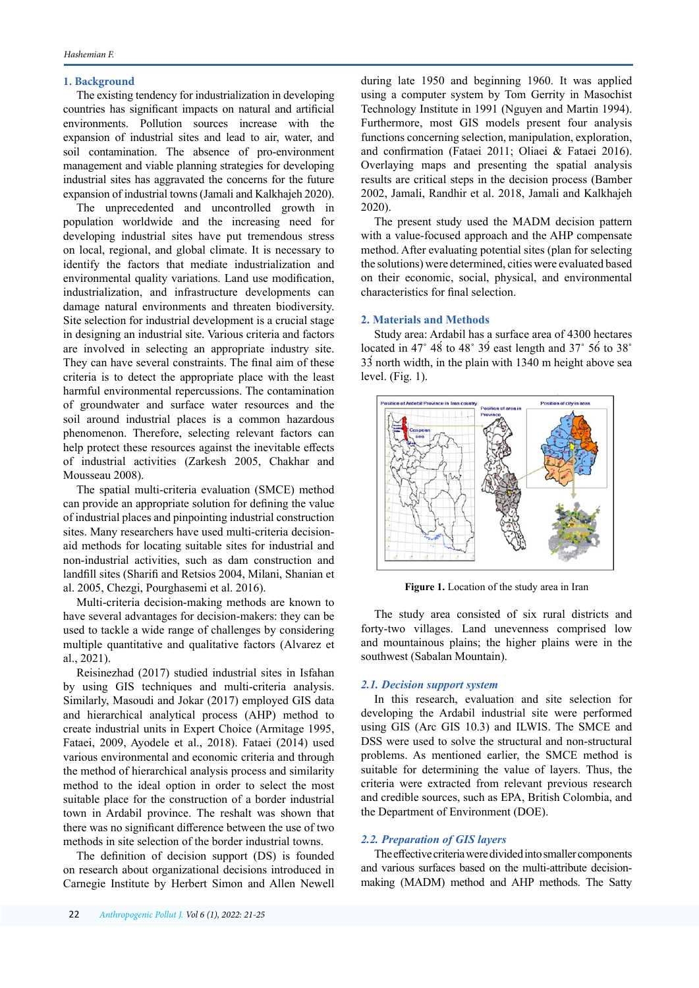## **1. Background**

The existing tendency for industrialization in developing countries has significant impacts on natural and artificial environments. Pollution sources increase with the expansion of industrial sites and lead to air, water, and soil contamination. The absence of pro-environment management and viable planning strategies for developing industrial sites has aggravated the concerns for the future expansion of industrial towns (Jamali and Kalkhajeh 2020).

The unprecedented and uncontrolled growth in population worldwide and the increasing need for developing industrial sites have put tremendous stress on local, regional, and global climate. It is necessary to identify the factors that mediate industrialization and environmental quality variations. Land use modification, industrialization, and infrastructure developments can damage natural environments and threaten biodiversity. Site selection for industrial development is a crucial stage in designing an industrial site. Various criteria and factors are involved in selecting an appropriate industry site. They can have several constraints. The final aim of these criteria is to detect the appropriate place with the least harmful environmental repercussions. The contamination of groundwater and surface water resources and the soil around industrial places is a common hazardous phenomenon. Therefore, selecting relevant factors can help protect these resources against the inevitable effects of industrial activities (Zarkesh 2005, Chakhar and Mousseau 2008).

The spatial multi-criteria evaluation (SMCE) method can provide an appropriate solution for defining the value of industrial places and pinpointing industrial construction sites. Many researchers have used multi-criteria decisionaid methods for locating suitable sites for industrial and non-industrial activities, such as dam construction and landfill sites (Sharifi and Retsios 2004, Milani, Shanian et al. 2005, Chezgi, Pourghasemi et al. 2016).

Multi-criteria decision-making methods are known to have several advantages for decision-makers: they can be used to tackle a wide range of challenges by considering multiple quantitative and qualitative factors (Alvarez et al., 2021).

Reisinezhad (2017) studied industrial sites in Isfahan by using GIS techniques and multi-criteria analysis. Similarly, Masoudi and Jokar (2017) employed GIS data and hierarchical analytical process (AHP) method to create industrial units in Expert Choice (Armitage 1995, Fataei, 2009, Ayodele et al., 2018). Fataei (2014) used various environmental and economic criteria and through the method of hierarchical analysis process and similarity method to the ideal option in order to select the most suitable place for the construction of a border industrial town in Ardabil province. The reshalt was shown that there was no significant difference between the use of two methods in site selection of the border industrial towns.

The definition of decision support (DS) is founded on research about organizational decisions introduced in Carnegie Institute by Herbert Simon and Allen Newell

22 *Anthropogenic Pollut J. Vol* 6 *(*1*), 202*2*: 21-25*

during late 1950 and beginning 1960. It was applied using a computer system by Tom Gerrity in Masochist Technology Institute in 1991 (Nguyen and Martin 1994). Furthermore, most GIS models present four analysis functions concerning selection, manipulation, exploration, and confirmation (Fataei 2011; Oliaei & Fataei 2016). Overlaying maps and presenting the spatial analysis results are critical steps in the decision process (Bamber 2002, Jamali, Randhir et al. 2018, Jamali and Kalkhajeh 2020).

The present study used the MADM decision pattern with a value-focused approach and the AHP compensate method. After evaluating potential sites (plan for selecting the solutions) were determined, cities were evaluated based on their economic, social, physical, and environmental characteristics for final selection.

#### **2. Materials and Methods**

Study area: Ardabil has a surface area of 4300 hectares located in 47 $\degree$  48<sup> $\degree$ </sup> to 48 $\degree$  39<sup> $\degree$ </sup> east length and 37 $\degree$  56<sup> $\degree$ </sup> to 38 $\degree$ 33́ north width, in the plain with 1340 m height above sea level. (Fig. 1).



**Figure 1.** Location of the study area in Iran

The study area consisted of six rural districts and forty-two villages. Land unevenness comprised low and mountainous plains; the higher plains were in the southwest (Sabalan Mountain).

#### *2.1. Decision support system*

In this research, evaluation and site selection for developing the Ardabil industrial site were performed using GIS (Arc GIS 10.3) and ILWIS. The SMCE and DSS were used to solve the structural and non-structural problems. As mentioned earlier, the SMCE method is suitable for determining the value of layers. Thus, the criteria were extracted from relevant previous research and credible sources, such as EPA, British Colombia, and the Department of Environment (DOE).

## *2.2. Preparation of GIS layers*

The effective criteria were divided into smaller components and various surfaces based on the multi-attribute decisionmaking (MADM) method and AHP methods. The Satty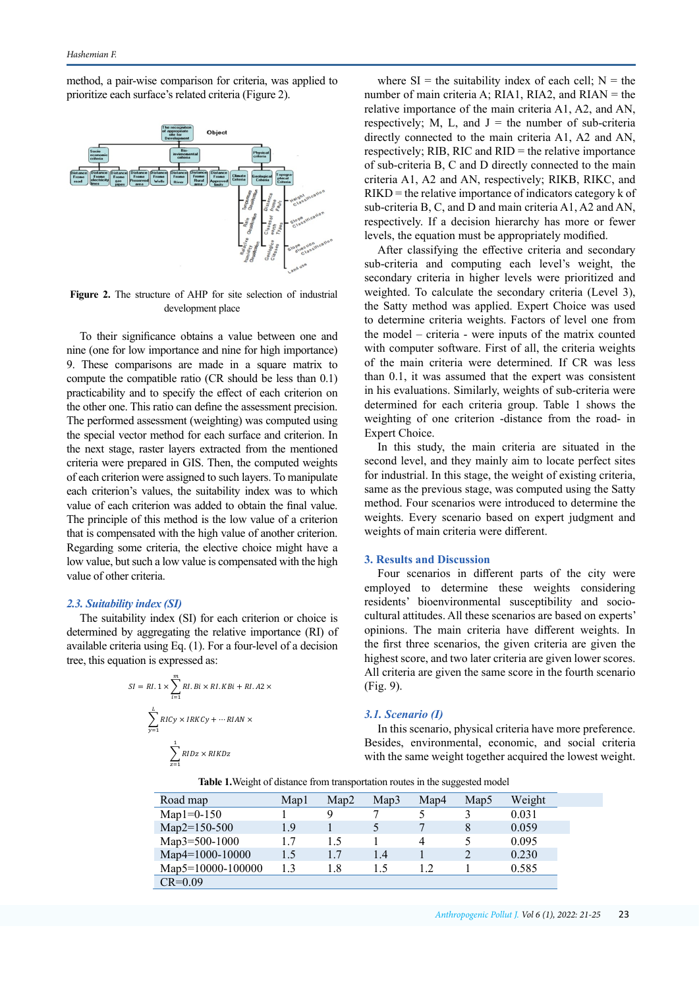method, a pair-wise comparison for criteria, was applied to prioritize each surface's related criteria (Figure 2).



**Figure 2.** The structure of AHP for site selection of industrial development place

To their significance obtains a value between one and nine (one for low importance and nine for high importance) 9. These comparisons are made in a square matrix to compute the compatible ratio (CR should be less than 0.1) practicability and to specify the effect of each criterion on the other one. This ratio can define the assessment precision. The performed assessment (weighting) was computed using the special vector method for each surface and criterion. In the next stage, raster layers extracted from the mentioned criteria were prepared in GIS. Then, the computed weights of each criterion were assigned to such layers. To manipulate each criterion's values, the suitability index was to which value of each criterion was added to obtain the final value. The principle of this method is the low value of a criterion that is compensated with the high value of another criterion. Regarding some criteria, the elective choice might have a low value, but such a low value is compensated with the high value of other criteria.

### *2.3. Suitability index (SI)*

The suitability index (SI) for each criterion or choice is determined by aggregating the relative importance (RI) of available criteria using Eq. (1). For a four-level of a decision tree, this equation is expressed as:

$$
SI = RI. 1 \times \sum_{i=1}^{m} RI.Bi \times RI.KBi + RI.A2 \times
$$

$$
\sum_{y=1}^{L} RICy \times IRKCy + \cdots RIAN \times
$$

$$
\sum_{z=1}^{1} RIDz \times RIKDz
$$

where  $SI =$  the suitability index of each cell;  $N =$  the number of main criteria A; RIA1, RIA2, and RIAN = the relative importance of the main criteria A1, A2, and AN, respectively; M, L, and  $J =$  the number of sub-criteria directly connected to the main criteria A1, A2 and AN, respectively; RIB, RIC and RID = the relative importance of sub-criteria B, C and D directly connected to the main criteria A1, A2 and AN, respectively; RIKB, RIKC, and RIKD = the relative importance of indicators category k of sub-criteria B, C, and D and main criteria A1, A2 and AN, respectively. If a decision hierarchy has more or fewer levels, the equation must be appropriately modified.

After classifying the effective criteria and secondary sub-criteria and computing each level's weight, the secondary criteria in higher levels were prioritized and weighted. To calculate the secondary criteria (Level 3), the Satty method was applied. Expert Choice was used to determine criteria weights. Factors of level one from the model – criteria - were inputs of the matrix counted with computer software. First of all, the criteria weights of the main criteria were determined. If CR was less than 0.1, it was assumed that the expert was consistent in his evaluations. Similarly, weights of sub-criteria were determined for each criteria group. Table 1 shows the weighting of one criterion -distance from the road- in Expert Choice.

In this study, the main criteria are situated in the second level, and they mainly aim to locate perfect sites for industrial. In this stage, the weight of existing criteria, same as the previous stage, was computed using the Satty method. Four scenarios were introduced to determine the weights. Every scenario based on expert judgment and weights of main criteria were different.

### **3. Results and Discussion**

Four scenarios in different parts of the city were employed to determine these weights considering residents' bioenvironmental susceptibility and sociocultural attitudes. All these scenarios are based on experts' opinions. The main criteria have different weights. In the first three scenarios, the given criteria are given the highest score, and two later criteria are given lower scores. All criteria are given the same score in the fourth scenario (Fig. 9).

#### *3.1. Scenario (I)*

In this scenario, physical criteria have more preference. Besides, environmental, economic, and social criteria with the same weight together acquired the lowest weight.

**Table 1.**Weight of distance from transportation routes in the suggested model

| Road map          | Mapl | Map2 | Man3 | Map4 | Map <sub>5</sub> | Weight |
|-------------------|------|------|------|------|------------------|--------|
| $Map1 = 0-150$    |      | 9    |      |      |                  | 0.031  |
| Map2=150-500      | 1.9  |      |      |      | 8                | 0.059  |
| Map3=500-1000     | 1.7  | 1.5  |      | 4    |                  | 0.095  |
| Map4=1000-10000   | 1.5  | 1.7  | 1.4  |      |                  | 0.230  |
| Map5=10000-100000 | 1.3  | l.8  | 1.5  |      |                  | 0.585  |
| $CR = 0.09$       |      |      |      |      |                  |        |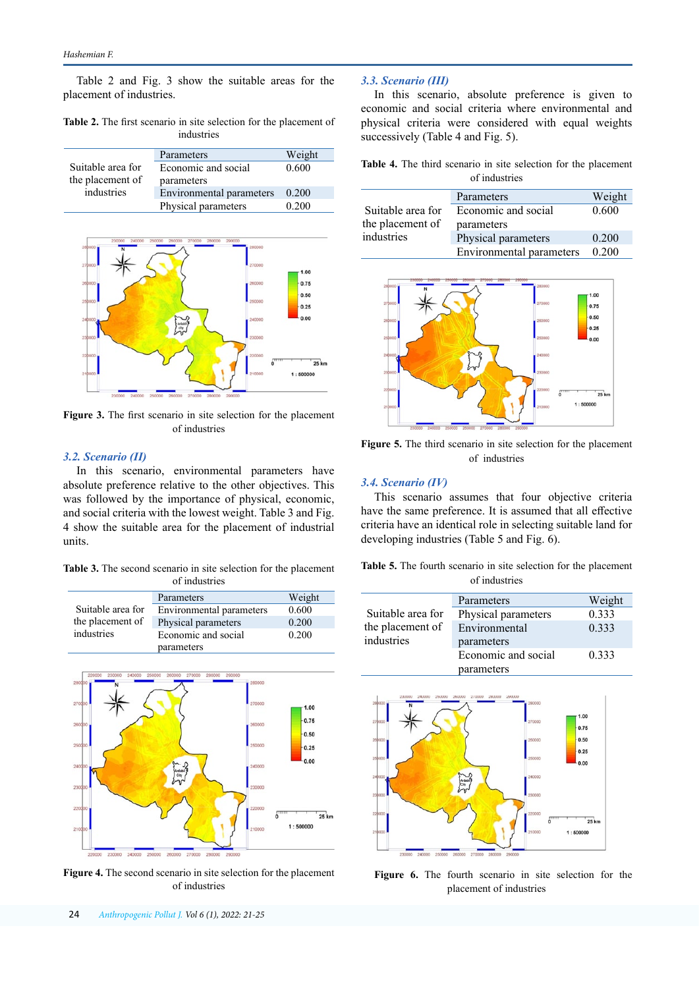Table 2 and Fig. 3 show the suitable areas for the placement of industries.

**Table 2.** The first scenario in site selection for the placement of industries

|                   | Parameters               | Weight |
|-------------------|--------------------------|--------|
| Suitable area for | Economic and social      | 0.600  |
| the placement of  | parameters               |        |
| industries        | Environmental parameters | 0.200  |
|                   | Physical parameters      | 0.200  |



**Figure 3.** The first scenario in site selection for the placement of industries

# *3.2. Scenario (II)*

In this scenario, environmental parameters have absolute preference relative to the other objectives. This was followed by the importance of physical, economic, and social criteria with the lowest weight. Table 3 and Fig. 4 show the suitable area for the placement of industrial units.

**Table 3.** The second scenario in site selection for the placement of industries

|                                | Parameters               | Weight |
|--------------------------------|--------------------------|--------|
| Suitable area for              | Environmental parameters | 0.600  |
| the placement of<br>industries | Physical parameters      | 0.200  |
|                                | Economic and social      | 0.200  |
|                                | parameters               |        |



**Figure 4.** The second scenario in site selection for the placement of industries

# *3.3. Scenario (III)*

In this scenario, absolute preference is given to economic and social criteria where environmental and physical criteria were considered with equal weights successively (Table 4 and Fig. 5).

|               |  |  |  |  |  |  |  |  |  | Table 4. The third scenario in site selection for the placement |  |
|---------------|--|--|--|--|--|--|--|--|--|-----------------------------------------------------------------|--|
| of industries |  |  |  |  |  |  |  |  |  |                                                                 |  |

|                   | Parameters               | Weight |
|-------------------|--------------------------|--------|
| Suitable area for | Economic and social      | 0.600  |
| the placement of  | parameters               |        |
| industries        | Physical parameters      | 0.200  |
|                   | Environmental parameters | 0.200  |



**Figure 5.** The third scenario in site selection for the placement of industries

#### *3.4. Scenario (IV)*

This scenario assumes that four objective criteria have the same preference. It is assumed that all effective criteria have an identical role in selecting suitable land for developing industries (Table 5 and Fig. 6).

**Table 5.** The fourth scenario in site selection for the placement of industries

|                   | Parameters          | Weight |
|-------------------|---------------------|--------|
| Suitable area for | Physical parameters | 0.333  |
| the placement of  | Environmental       | 0.333  |
| industries        | parameters          |        |
|                   | Economic and social | 0.333  |
|                   | parameters          |        |



**Figure 6.** The fourth scenario in site selection for the placement of industries